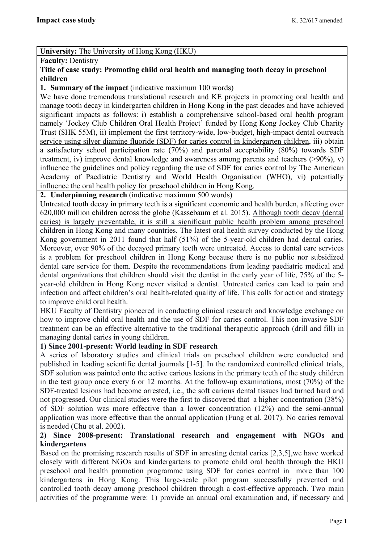## **University:** The University of Hong Kong (HKU)

#### **Faculty:** Dentistry

## **Title of case study: Promoting child oral health and managing tooth decay in preschool children**

## **1. Summary of the impact** (indicative maximum 100 words)

We have done tremendous translational research and KE projects in promoting oral health and manage tooth decay in kindergarten children in Hong Kong in the past decades and have achieved significant impacts as follows: i) establish a comprehensive school-based oral health program namely 'Jockey Club Children Oral Health Project' funded by Hong Kong Jockey Club Charity Trust (\$HK 55M), ii) implement the first territory-wide, low-budget, high-impact dental outreach service using silver diamine fluoride (SDF) for caries control in kindergarten children, iii) obtain a satisfactory school participation rate (70%) and parental acceptability (80%) towards SDF treatment, iv) improve dental knowledge and awareness among parents and teachers (>90%), v) influence the guidelines and policy regarding the use of SDF for caries control by The American Academy of Paediatric Dentistry and World Health Organisation (WHO), vi) potentially influence the oral health policy for preschool children in Hong Kong.

## **2. Underpinning research** (indicative maximum 500 words)

Untreated tooth decay in primary teeth is a significant economic and health burden, affecting over 620,000 million children across the globe (Kassebaum et al. 2015). Although tooth decay (dental caries) is largely preventable, it is still a significant public health problem among preschool children in Hong Kong and many countries. The latest oral health survey conducted by the Hong Kong government in 2011 found that half (51%) of the 5-year-old children had dental caries. Moreover, over 90% of the decayed primary teeth were untreated. Access to dental care services is a problem for preschool children in Hong Kong because there is no public nor subsidized dental care service for them. Despite the recommendations from leading paediatric medical and dental organizations that children should visit the dentist in the early year of life, 75% of the 5 year-old children in Hong Kong never visited a dentist. Untreated caries can lead to pain and infection and affect children's oral health-related quality of life. This calls for action and strategy to improve child oral health.

HKU Faculty of Dentistry pioneered in conducting clinical research and knowledge exchange on how to improve child oral health and the use of SDF for caries control. This non-invasive SDF treatment can be an effective alternative to the traditional therapeutic approach (drill and fill) in managing dental caries in young children.

## **1) Since 2001-present: World leading in SDF research**

A series of laboratory studies and clinical trials on preschool children were conducted and published in leading scientific dental journals [1-5]. In the randomized controlled clinical trials, SDF solution was painted onto the active carious lesions in the primary teeth of the study children in the test group once every 6 or 12 months. At the follow-up examinations, most (70%) of the SDF-treated lesions had become arrested, i.e., the soft carious dental tissues had turned hard and not progressed. Our clinical studies were the first to discovered that a higher concentration (38%) of SDF solution was more effective than a lower concentration (12%) and the semi-annual application was more effective than the annual application (Fung et al. 2017). No caries removal is needed (Chu et al. 2002).

## **2) Since 2008-present: Translational research and engagement with NGOs and kindergartens**

Based on the promising research results of SDF in arresting dental caries [2,3,5],we have worked closely with different NGOs and kindergartens to promote child oral health through the HKU preschool oral health promotion programme using SDF for caries control in more than 100 kindergartens in Hong Kong. This large-scale pilot program successfully prevented and controlled tooth decay among preschool children through a cost-effective approach. Two main activities of the programme were: 1) provide an annual oral examination and, if necessary and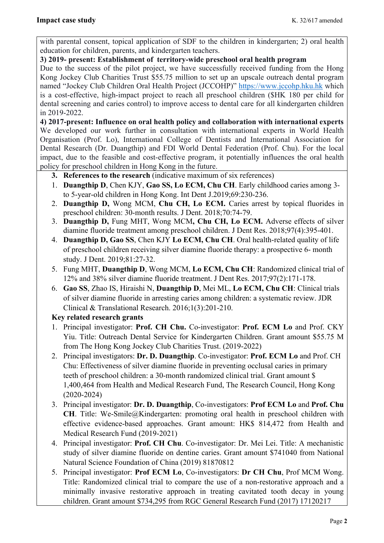with parental consent, topical application of SDF to the children in kindergarten; 2) oral health education for children, parents, and kindergarten teachers.

# **3) 2019- present: Establishment of territory-wide preschool oral health program**

Due to the success of the pilot project, we have successfully received funding from the Hong Kong Jockey Club Charities Trust \$55.75 million to set up an upscale outreach dental program named "Jockey Club Children Oral Health Project (JCCOHP)" https://www.jccohp.hku.hk which is a cost-effective, high-impact project to reach all preschool children (\$HK 180 per child for dental screening and caries control) to improve access to dental care for all kindergarten children in 2019-2022.

**4) 2017-present: Influence on oral health policy and collaboration with international experts** We developed our work further in consultation with international experts in World Health Organisation (Prof. Lo), International College of Dentists and International Association for Dental Research (Dr. Duangthip) and FDI World Dental Federation (Prof. Chu). For the local impact, due to the feasible and cost-effective program, it potentially influences the oral health policy for preschool children in Hong Kong in the future.

- **3. References to the research** (indicative maximum of six references)
- 1. **Duangthip D**, Chen KJY, **Gao SS, Lo ECM, Chu CH**. Early childhood caries among 3 to 5-year-old children in Hong Kong. Int Dent J.2019;69:230-236.
- 2. **Duangthip D,** Wong MCM, **Chu CH, Lo ECM.** Caries arrest by topical fluorides in preschool children: 30-month results. J Dent. 2018;70:74-79.
- 3. **Duangthip D,** Fung MHT, Wong MCM**, Chu CH, Lo ECM.** Adverse effects of silver diamine fluoride treatment among preschool children. J Dent Res. 2018;97(4):395-401.
- 4. **Duangthip D, Gao SS**, Chen KJY **Lo ECM, Chu CH**. Oral health-related quality of life of preschool children receiving silver diamine fluoride therapy: a prospective 6- month study. J Dent. 2019;81:27-32.
- 5. Fung MHT, **Duangthip D**, Wong MCM, **Lo ECM, Chu CH**: Randomized clinical trial of 12% and 38% silver diamine fluoride treatment. J Dent Res. 2017;97(2):171-178.
- 6. **Gao SS**, Zhao IS, Hiraishi N, **Duangthip D**, Mei ML, **Lo ECM, Chu CH**: Clinical trials of silver diamine fluoride in arresting caries among children: a systematic review. JDR Clinical & Translational Research. 2016;1(3):201-210.

# **Key related research grants**

- 1. Principal investigator: **Prof. CH Chu.** Co-investigator: **Prof. ECM Lo** and Prof. CKY Yiu. Title: Outreach Dental Service for Kindergarten Children. Grant amount \$55.75 M from The Hong Kong Jockey Club Charities Trust. (2019-2022)
- 2. Principal investigators: **Dr. D. Duangthip**. Co-investigator: **Prof. ECM Lo** and Prof. CH Chu: Effectiveness of silver diamine fluoride in preventing occlusal caries in primary teeth of preschool children: a 30-month randomized clinical trial. Grant amount \$ 1,400,464 from Health and Medical Research Fund, The Research Council, Hong Kong (2020-2024)
- 3. Principal investigator: **Dr. D. Duangthip**, Co-investigators: **Prof ECM Lo** and **Prof. Chu CH**. Title: We-Smile@Kindergarten: promoting oral health in preschool children with effective evidence-based approaches. Grant amount: HK\$ 814,472 from Health and Medical Research Fund (2019-2021)
- 4. Principal investigator: **Prof. CH Chu**. Co-investigator: Dr. Mei Lei. Title: A mechanistic study of silver diamine fluoride on dentine caries. Grant amount \$741040 from National Natural Science Foundation of China (2019) 81870812
- 5. Principal investigator: **Prof ECM Lo**, Co-investigators: **Dr CH Chu**, Prof MCM Wong. Title: Randomized clinical trial to compare the use of a non-restorative approach and a minimally invasive restorative approach in treating cavitated tooth decay in young children. Grant amount \$734,295 from RGC General Research Fund (2017) 17120217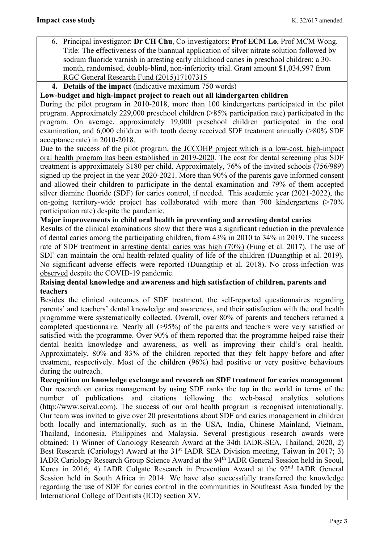- 6. Principal investigator: **Dr CH Chu**, Co-investigators: **Prof ECM Lo**, Prof MCM Wong. Title: The effectiveness of the biannual application of silver nitrate solution followed by sodium fluoride varnish in arresting early childhood caries in preschool children: a 30 month, randomised, double-blind, non-inferiority trial. Grant amount \$1,034,997 from RGC General Research Fund (2015)17107315
- **4. Details of the impact** (indicative maximum 750 words)

## **Low-budget and high-impact project to reach out all kindergarten children**

During the pilot program in 2010-2018, more than 100 kindergartens participated in the pilot program. Approximately 229,000 preschool children (>85% participation rate) participated in the program. On average, approximately 19,000 preschool children participated in the oral examination, and 6,000 children with tooth decay received SDF treatment annually (>80% SDF acceptance rate) in 2010-2018.

Due to the success of the pilot program, the JCCOHP project which is a low-cost, high-impact oral health program has been established in 2019-2020. The cost for dental screening plus SDF treatment is approximately \$180 per child. Approximately, 76% of the invited schools (756/989) signed up the project in the year 2020-2021. More than 90% of the parents gave informed consent and allowed their children to participate in the dental examination and 79% of them accepted silver diamine fluoride (SDF) for caries control, if needed. This academic year (2021-2022), the on-going territory-wide project has collaborated with more than  $700$  kindergartens ( $>70\%$ ) participation rate) despite the pandemic.

**Major improvements in child oral health in preventing and arresting dental caries** 

Results of the clinical examinations show that there was a significant reduction in the prevalence of dental caries among the participating children, from 43% in 2010 to 34% in 2019. The success rate of SDF treatment in arresting dental caries was high (70%) (Fung et al. 2017). The use of SDF can maintain the oral health-related quality of life of the children (Duangthip et al. 2019). No significant adverse effects were reported (Duangthip et al. 2018). No cross-infection was observed despite the COVID-19 pandemic.

## **Raising dental knowledge and awareness and high satisfaction of children, parents and teachers**

Besides the clinical outcomes of SDF treatment, the self-reported questionnaires regarding parents' and teachers' dental knowledge and awareness, and their satisfaction with the oral health programme were systematically collected. Overall, over 80% of parents and teachers returned a completed questionnaire. Nearly all (>95%) of the parents and teachers were very satisfied or satisfied with the programme. Over 90% of them reported that the programme helped raise their dental health knowledge and awareness, as well as improving their child's oral health. Approximately, 80% and 83% of the children reported that they felt happy before and after treatment, respectively. Most of the children (96%) had positive or very positive behaviours during the outreach.

**Recognition on knowledge exchange and research on SDF treatment for caries management**  Our research on caries management by using SDF ranks the top in the world in terms of the number of publications and citations following the web-based analytics solutions (http://www.scival.com). The success of our oral health program is recognised internationally. Our team was invited to give over 20 presentations about SDF and caries management in children both locally and internationally, such as in the USA, India, Chinese Mainland, Vietnam, Thailand, Indonesia, Philippines and Malaysia. Several prestigious research awards were obtained: 1) Winner of Cariology Research Award at the 34th IADR-SEA, Thailand, 2020, 2) Best Research (Cariology) Award at the 31<sup>st</sup> IADR SEA Division meeting, Taiwan in 2017; 3) IADR Cariology Research Group Science Award at the 94th IADR General Session held in Seoul, Korea in 2016; 4) IADR Colgate Research in Prevention Award at the 92<sup>nd</sup> IADR General Session held in South Africa in 2014. We have also successfully transferred the knowledge regarding the use of SDF for caries control in the communities in Southeast Asia funded by the International College of Dentists (ICD) section XV.